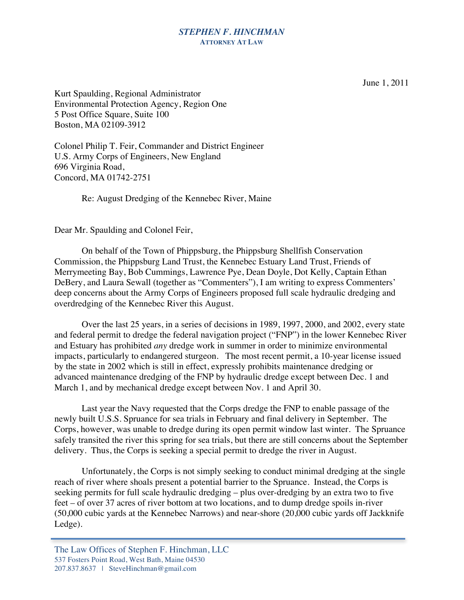## *STEPHEN F. HINCHMAN* **ATTORNEY AT LAW**

June 1, 2011

Kurt Spaulding, Regional Administrator Environmental Protection Agency, Region One 5 Post Office Square, Suite 100 Boston, MA 02109-3912

Colonel Philip T. Feir, Commander and District Engineer U.S. Army Corps of Engineers, New England 696 Virginia Road, Concord, MA 01742-2751

Re: August Dredging of the Kennebec River, Maine

Dear Mr. Spaulding and Colonel Feir,

On behalf of the Town of Phippsburg, the Phippsburg Shellfish Conservation Commission, the Phippsburg Land Trust, the Kennebec Estuary Land Trust, Friends of Merrymeeting Bay, Bob Cummings, Lawrence Pye, Dean Doyle, Dot Kelly, Captain Ethan DeBery, and Laura Sewall (together as "Commenters"), I am writing to express Commenters' deep concerns about the Army Corps of Engineers proposed full scale hydraulic dredging and overdredging of the Kennebec River this August.

Over the last 25 years, in a series of decisions in 1989, 1997, 2000, and 2002, every state and federal permit to dredge the federal navigation project ("FNP") in the lower Kennebec River and Estuary has prohibited *any* dredge work in summer in order to minimize environmental impacts, particularly to endangered sturgeon. The most recent permit, a 10-year license issued by the state in 2002 which is still in effect, expressly prohibits maintenance dredging or advanced maintenance dredging of the FNP by hydraulic dredge except between Dec. 1 and March 1, and by mechanical dredge except between Nov. 1 and April 30.

Last year the Navy requested that the Corps dredge the FNP to enable passage of the newly built U.S.S. Spruance for sea trials in February and final delivery in September. The Corps, however, was unable to dredge during its open permit window last winter. The Spruance safely transited the river this spring for sea trials, but there are still concerns about the September delivery. Thus, the Corps is seeking a special permit to dredge the river in August.

Unfortunately, the Corps is not simply seeking to conduct minimal dredging at the single reach of river where shoals present a potential barrier to the Spruance. Instead, the Corps is seeking permits for full scale hydraulic dredging – plus over-dredging by an extra two to five feet – of over 37 acres of river bottom at two locations, and to dump dredge spoils in-river (50,000 cubic yards at the Kennebec Narrows) and near-shore (20,000 cubic yards off Jackknife Ledge).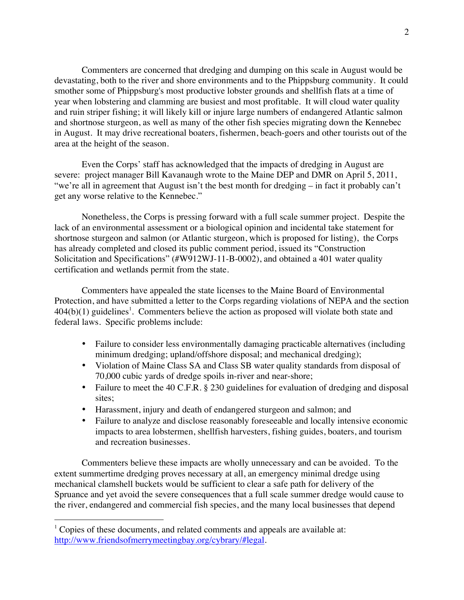Commenters are concerned that dredging and dumping on this scale in August would be devastating, both to the river and shore environments and to the Phippsburg community. It could smother some of Phippsburg's most productive lobster grounds and shellfish flats at a time of year when lobstering and clamming are busiest and most profitable. It will cloud water quality and ruin striper fishing; it will likely kill or injure large numbers of endangered Atlantic salmon and shortnose sturgeon, as well as many of the other fish species migrating down the Kennebec in August. It may drive recreational boaters, fishermen, beach-goers and other tourists out of the area at the height of the season.

Even the Corps' staff has acknowledged that the impacts of dredging in August are severe: project manager Bill Kavanaugh wrote to the Maine DEP and DMR on April 5, 2011, "we're all in agreement that August isn't the best month for dredging – in fact it probably can't get any worse relative to the Kennebec."

Nonetheless, the Corps is pressing forward with a full scale summer project. Despite the lack of an environmental assessment or a biological opinion and incidental take statement for shortnose sturgeon and salmon (or Atlantic sturgeon, which is proposed for listing), the Corps has already completed and closed its public comment period, issued its "Construction Solicitation and Specifications" (#W912WJ-11-B-0002), and obtained a 401 water quality certification and wetlands permit from the state.

Commenters have appealed the state licenses to the Maine Board of Environmental Protection, and have submitted a letter to the Corps regarding violations of NEPA and the section  $404(b)(1)$  guidelines<sup>1</sup>. Commenters believe the action as proposed will violate both state and federal laws. Specific problems include:

- Failure to consider less environmentally damaging practicable alternatives (including minimum dredging; upland/offshore disposal; and mechanical dredging);
- Violation of Maine Class SA and Class SB water quality standards from disposal of 70,000 cubic yards of dredge spoils in-river and near-shore;
- Failure to meet the 40 C.F.R. § 230 guidelines for evaluation of dredging and disposal sites;
- Harassment, injury and death of endangered sturgeon and salmon; and
- Failure to analyze and disclose reasonably foreseeable and locally intensive economic impacts to area lobstermen, shellfish harvesters, fishing guides, boaters, and tourism and recreation businesses.

Commenters believe these impacts are wholly unnecessary and can be avoided. To the extent summertime dredging proves necessary at all, an emergency minimal dredge using mechanical clamshell buckets would be sufficient to clear a safe path for delivery of the Spruance and yet avoid the severe consequences that a full scale summer dredge would cause to the river, endangered and commercial fish species, and the many local businesses that depend

 $1$  Copies of these documents, and related comments and appeals are available at: http://www.friendsofmerrymeetingbay.org/cybrary/#legal.